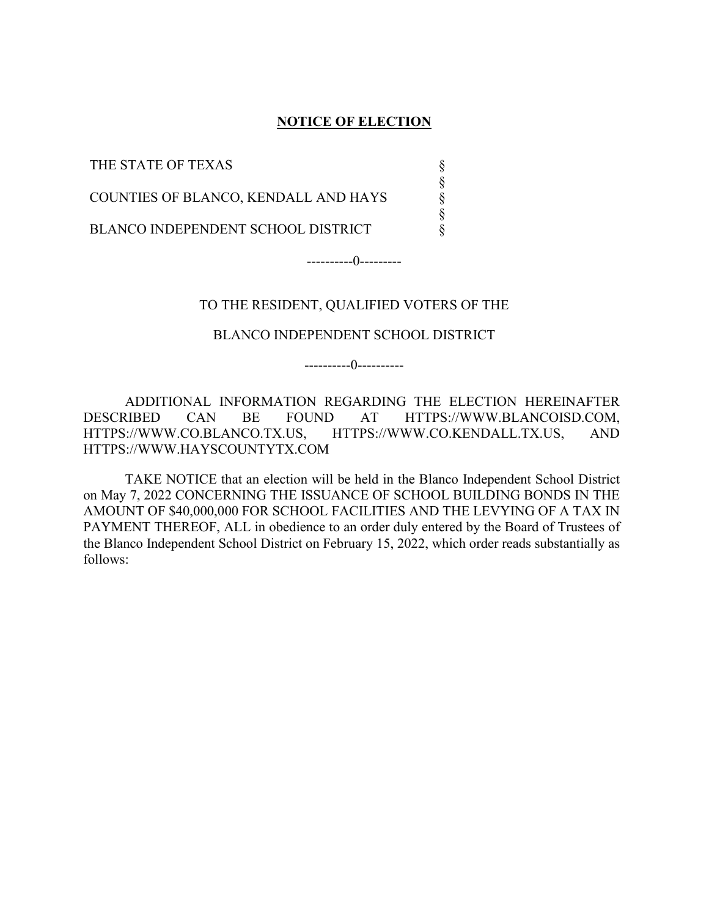### **NOTICE OF ELECTION**

§ § § § §

THE STATE OF TEXAS

COUNTIES OF BLANCO, KENDALL AND HAYS

BLANCO INDEPENDENT SCHOOL DISTRICT

----------0---------

### TO THE RESIDENT, QUALIFIED VOTERS OF THE

### BLANCO INDEPENDENT SCHOOL DISTRICT

----------0----------

ADDITIONAL INFORMATION REGARDING THE ELECTION HEREINAFTER DESCRIBED CAN BE FOUND AT HTTPS://WWW.BLANCOISD.COM, HTTPS://WWW.CO.BLANCO.TX.US, HTTPS://WWW.CO.KENDALL.TX.US, AND HTTPS://WWW.HAYSCOUNTYTX.COM

TAKE NOTICE that an election will be held in the Blanco Independent School District on May 7, 2022 CONCERNING THE ISSUANCE OF SCHOOL BUILDING BONDS IN THE AMOUNT OF \$40,000,000 FOR SCHOOL FACILITIES AND THE LEVYING OF A TAX IN PAYMENT THEREOF, ALL in obedience to an order duly entered by the Board of Trustees of the Blanco Independent School District on February 15, 2022, which order reads substantially as follows: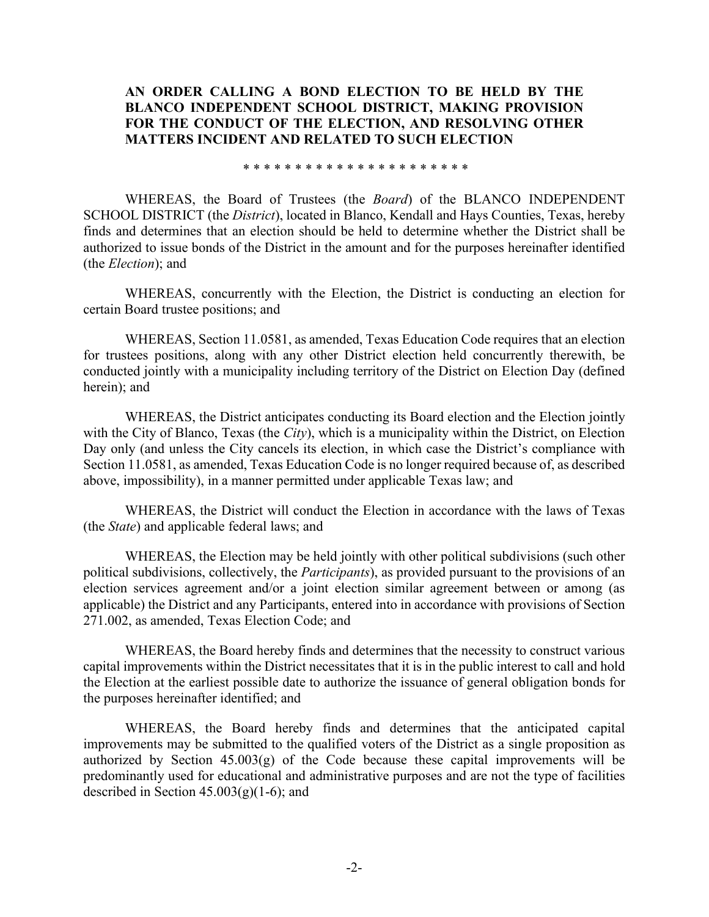### **AN ORDER CALLING A BOND ELECTION TO BE HELD BY THE BLANCO INDEPENDENT SCHOOL DISTRICT, MAKING PROVISION FOR THE CONDUCT OF THE ELECTION, AND RESOLVING OTHER MATTERS INCIDENT AND RELATED TO SUCH ELECTION**

\* \* \* \* \* \* \* \* \* \* \* \* \* \* \* \* \* \* \* \* \* \*

WHEREAS, the Board of Trustees (the *Board*) of the BLANCO INDEPENDENT SCHOOL DISTRICT (the *District*), located in Blanco, Kendall and Hays Counties, Texas, hereby finds and determines that an election should be held to determine whether the District shall be authorized to issue bonds of the District in the amount and for the purposes hereinafter identified (the *Election*); and

WHEREAS, concurrently with the Election, the District is conducting an election for certain Board trustee positions; and

WHEREAS, Section 11.0581, as amended, Texas Education Code requires that an election for trustees positions, along with any other District election held concurrently therewith, be conducted jointly with a municipality including territory of the District on Election Day (defined herein); and

WHEREAS, the District anticipates conducting its Board election and the Election jointly with the City of Blanco, Texas (the *City*), which is a municipality within the District, on Election Day only (and unless the City cancels its election, in which case the District's compliance with Section 11.0581, as amended, Texas Education Code is no longer required because of, as described above, impossibility), in a manner permitted under applicable Texas law; and

WHEREAS, the District will conduct the Election in accordance with the laws of Texas (the *State*) and applicable federal laws; and

WHEREAS, the Election may be held jointly with other political subdivisions (such other political subdivisions, collectively, the *Participants*), as provided pursuant to the provisions of an election services agreement and/or a joint election similar agreement between or among (as applicable) the District and any Participants, entered into in accordance with provisions of Section 271.002, as amended, Texas Election Code; and

WHEREAS, the Board hereby finds and determines that the necessity to construct various capital improvements within the District necessitates that it is in the public interest to call and hold the Election at the earliest possible date to authorize the issuance of general obligation bonds for the purposes hereinafter identified; and

WHEREAS, the Board hereby finds and determines that the anticipated capital improvements may be submitted to the qualified voters of the District as a single proposition as authorized by Section  $45.003(g)$  of the Code because these capital improvements will be predominantly used for educational and administrative purposes and are not the type of facilities described in Section  $45.003(g)(1-6)$ ; and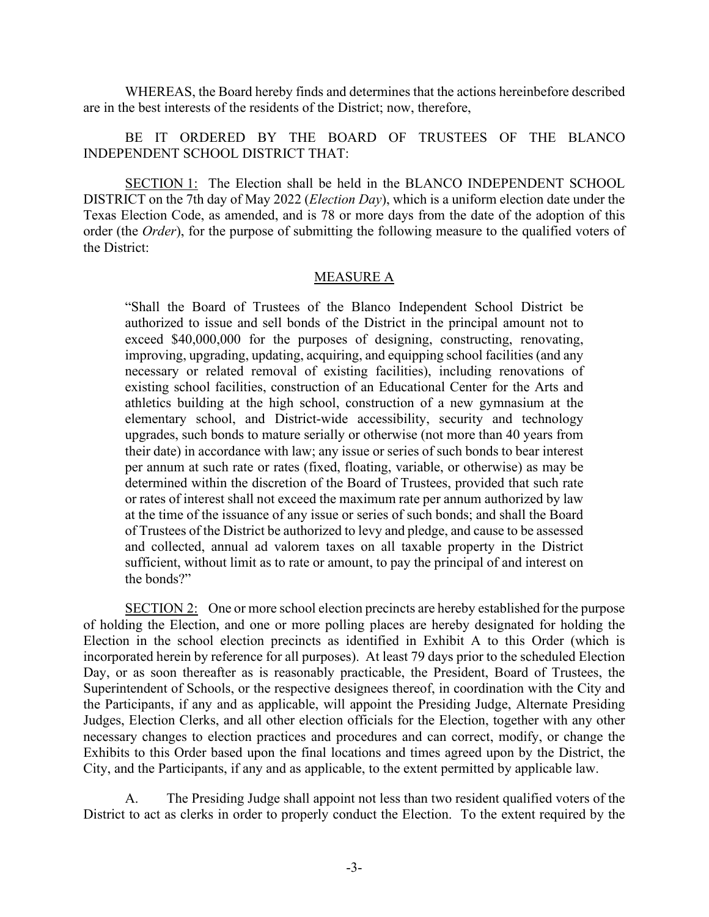WHEREAS, the Board hereby finds and determines that the actions hereinbefore described are in the best interests of the residents of the District; now, therefore,

BE IT ORDERED BY THE BOARD OF TRUSTEES OF THE BLANCO INDEPENDENT SCHOOL DISTRICT THAT:

SECTION 1: The Election shall be held in the BLANCO INDEPENDENT SCHOOL DISTRICT on the 7th day of May 2022 (*Election Day*), which is a uniform election date under the Texas Election Code, as amended, and is 78 or more days from the date of the adoption of this order (the *Order*), for the purpose of submitting the following measure to the qualified voters of the District:

### MEASURE A

"Shall the Board of Trustees of the Blanco Independent School District be authorized to issue and sell bonds of the District in the principal amount not to exceed \$40,000,000 for the purposes of designing, constructing, renovating, improving, upgrading, updating, acquiring, and equipping school facilities (and any necessary or related removal of existing facilities), including renovations of existing school facilities, construction of an Educational Center for the Arts and athletics building at the high school, construction of a new gymnasium at the elementary school, and District-wide accessibility, security and technology upgrades, such bonds to mature serially or otherwise (not more than 40 years from their date) in accordance with law; any issue or series of such bonds to bear interest per annum at such rate or rates (fixed, floating, variable, or otherwise) as may be determined within the discretion of the Board of Trustees, provided that such rate or rates of interest shall not exceed the maximum rate per annum authorized by law at the time of the issuance of any issue or series of such bonds; and shall the Board of Trustees of the District be authorized to levy and pledge, and cause to be assessed and collected, annual ad valorem taxes on all taxable property in the District sufficient, without limit as to rate or amount, to pay the principal of and interest on the bonds?"

SECTION 2: One or more school election precincts are hereby established for the purpose of holding the Election, and one or more polling places are hereby designated for holding the Election in the school election precincts as identified in Exhibit A to this Order (which is incorporated herein by reference for all purposes). At least 79 days prior to the scheduled Election Day, or as soon thereafter as is reasonably practicable, the President, Board of Trustees, the Superintendent of Schools, or the respective designees thereof, in coordination with the City and the Participants, if any and as applicable, will appoint the Presiding Judge, Alternate Presiding Judges, Election Clerks, and all other election officials for the Election, together with any other necessary changes to election practices and procedures and can correct, modify, or change the Exhibits to this Order based upon the final locations and times agreed upon by the District, the City, and the Participants, if any and as applicable, to the extent permitted by applicable law.

A. The Presiding Judge shall appoint not less than two resident qualified voters of the District to act as clerks in order to properly conduct the Election. To the extent required by the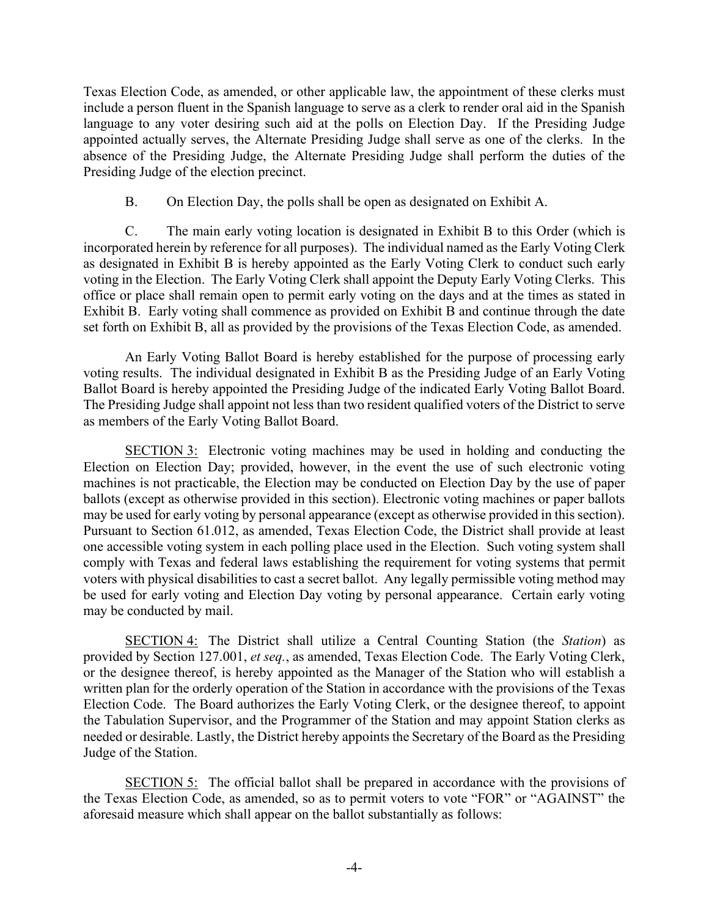Texas Election Code, as amended, or other applicable law, the appointment of these clerks must include a person fluent in the Spanish language to serve as a clerk to render oral aid in the Spanish language to any voter desiring such aid at the polls on Election Day. If the Presiding Judge appointed actually serves, the Alternate Presiding Judge shall serve as one of the clerks. In the absence of the Presiding Judge, the Alternate Presiding Judge shall perform the duties of the Presiding Judge of the election precinct.

B. On Election Day, the polls shall be open as designated on Exhibit A.

C. The main early voting location is designated in Exhibit B to this Order (which is incorporated herein by reference for all purposes). The individual named as the Early Voting Clerk as designated in Exhibit B is hereby appointed as the Early Voting Clerk to conduct such early voting in the Election. The Early Voting Clerk shall appoint the Deputy Early Voting Clerks. This office or place shall remain open to permit early voting on the days and at the times as stated in Exhibit B. Early voting shall commence as provided on Exhibit B and continue through the date set forth on Exhibit B, all as provided by the provisions of the Texas Election Code, as amended.

An Early Voting Ballot Board is hereby established for the purpose of processing early voting results. The individual designated in Exhibit B as the Presiding Judge of an Early Voting Ballot Board is hereby appointed the Presiding Judge of the indicated Early Voting Ballot Board. The Presiding Judge shall appoint not less than two resident qualified voters of the District to serve as members of the Early Voting Ballot Board.

SECTION 3: Electronic voting machines may be used in holding and conducting the Election on Election Day; provided, however, in the event the use of such electronic voting machines is not practicable, the Election may be conducted on Election Day by the use of paper ballots (except as otherwise provided in this section). Electronic voting machines or paper ballots may be used for early voting by personal appearance (except as otherwise provided in this section). Pursuant to Section 61.012, as amended, Texas Election Code, the District shall provide at least one accessible voting system in each polling place used in the Election. Such voting system shall comply with Texas and federal laws establishing the requirement for voting systems that permit voters with physical disabilities to cast a secret ballot. Any legally permissible voting method may be used for early voting and Election Day voting by personal appearance. Certain early voting may be conducted by mail.

SECTION 4: The District shall utilize a Central Counting Station (the *Station*) as provided by Section 127.001, *et seq.*, as amended, Texas Election Code. The Early Voting Clerk, or the designee thereof, is hereby appointed as the Manager of the Station who will establish a written plan for the orderly operation of the Station in accordance with the provisions of the Texas Election Code. The Board authorizes the Early Voting Clerk, or the designee thereof, to appoint the Tabulation Supervisor, and the Programmer of the Station and may appoint Station clerks as needed or desirable. Lastly, the District hereby appoints the Secretary of the Board as the Presiding Judge of the Station.

SECTION 5: The official ballot shall be prepared in accordance with the provisions of the Texas Election Code, as amended, so as to permit voters to vote "FOR" or "AGAINST" the aforesaid measure which shall appear on the ballot substantially as follows: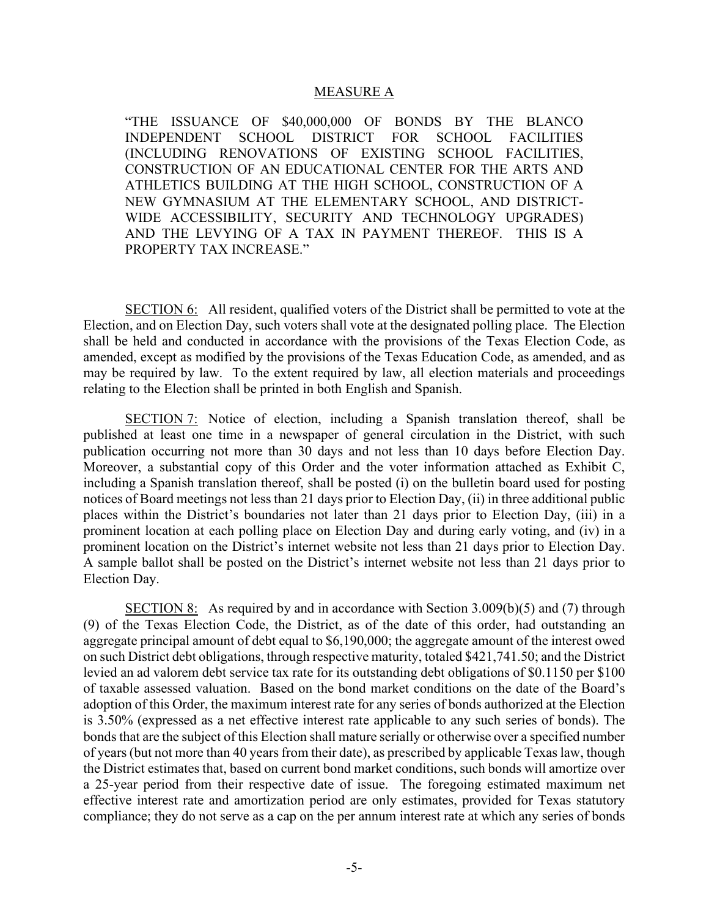#### MEASURE A

"THE ISSUANCE OF \$40,000,000 OF BONDS BY THE BLANCO INDEPENDENT SCHOOL DISTRICT FOR SCHOOL FACILITIES (INCLUDING RENOVATIONS OF EXISTING SCHOOL FACILITIES, CONSTRUCTION OF AN EDUCATIONAL CENTER FOR THE ARTS AND ATHLETICS BUILDING AT THE HIGH SCHOOL, CONSTRUCTION OF A NEW GYMNASIUM AT THE ELEMENTARY SCHOOL, AND DISTRICT-WIDE ACCESSIBILITY, SECURITY AND TECHNOLOGY UPGRADES) AND THE LEVYING OF A TAX IN PAYMENT THEREOF. THIS IS A PROPERTY TAX INCREASE."

SECTION 6: All resident, qualified voters of the District shall be permitted to vote at the Election, and on Election Day, such voters shall vote at the designated polling place. The Election shall be held and conducted in accordance with the provisions of the Texas Election Code, as amended, except as modified by the provisions of the Texas Education Code, as amended, and as may be required by law. To the extent required by law, all election materials and proceedings relating to the Election shall be printed in both English and Spanish.

SECTION 7: Notice of election, including a Spanish translation thereof, shall be published at least one time in a newspaper of general circulation in the District, with such publication occurring not more than 30 days and not less than 10 days before Election Day. Moreover, a substantial copy of this Order and the voter information attached as Exhibit C, including a Spanish translation thereof, shall be posted (i) on the bulletin board used for posting notices of Board meetings not less than 21 days prior to Election Day, (ii) in three additional public places within the District's boundaries not later than 21 days prior to Election Day, (iii) in a prominent location at each polling place on Election Day and during early voting, and (iv) in a prominent location on the District's internet website not less than 21 days prior to Election Day. A sample ballot shall be posted on the District's internet website not less than 21 days prior to Election Day.

SECTION 8: As required by and in accordance with Section  $3.009(b)(5)$  and (7) through (9) of the Texas Election Code, the District, as of the date of this order, had outstanding an aggregate principal amount of debt equal to \$6,190,000; the aggregate amount of the interest owed on such District debt obligations, through respective maturity, totaled \$421,741.50; and the District levied an ad valorem debt service tax rate for its outstanding debt obligations of \$0.1150 per \$100 of taxable assessed valuation. Based on the bond market conditions on the date of the Board's adoption of this Order, the maximum interest rate for any series of bonds authorized at the Election is 3.50% (expressed as a net effective interest rate applicable to any such series of bonds). The bonds that are the subject of this Election shall mature serially or otherwise over a specified number of years (but not more than 40 years from their date), as prescribed by applicable Texas law, though the District estimates that, based on current bond market conditions, such bonds will amortize over a 25-year period from their respective date of issue. The foregoing estimated maximum net effective interest rate and amortization period are only estimates, provided for Texas statutory compliance; they do not serve as a cap on the per annum interest rate at which any series of bonds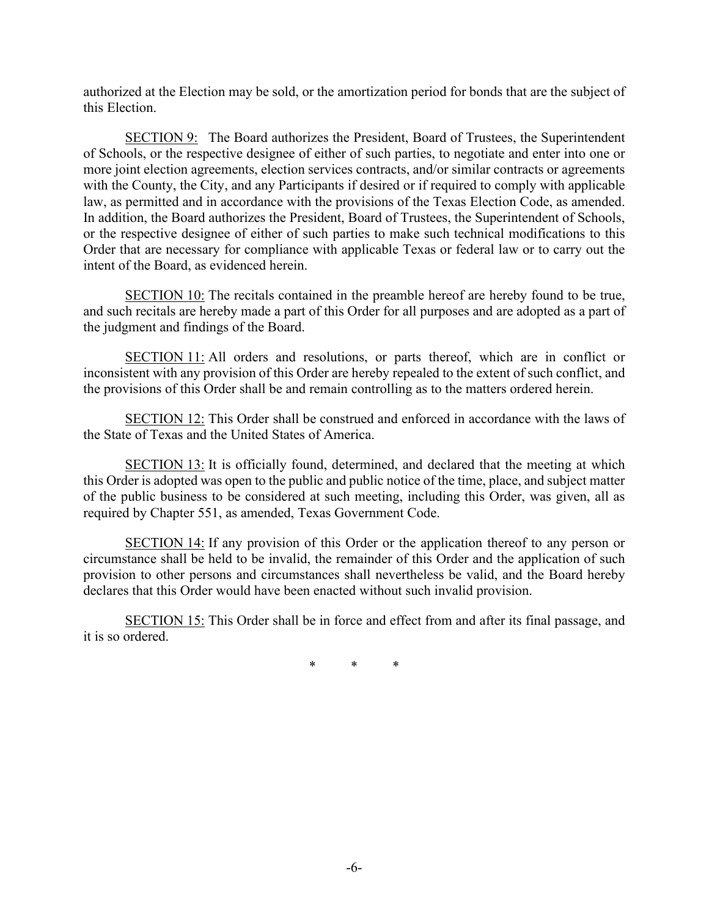authorized at the Election may be sold, or the amortization period for bonds that are the subject of this Election.

SECTION 9: The Board authorizes the President, Board of Trustees, the Superintendent of Schools, or the respective designee of either of such parties, to negotiate and enter into one or more joint election agreements, election services contracts, and/or similar contracts or agreements with the County, the City, and any Participants if desired or if required to comply with applicable law, as permitted and in accordance with the provisions of the Texas Election Code, as amended. In addition, the Board authorizes the President, Board of Trustees, the Superintendent of Schools, or the respective designee of either of such parties to make such technical modifications to this Order that are necessary for compliance with applicable Texas or federal law or to carry out the intent of the Board, as evidenced herein.

SECTION 10: The recitals contained in the preamble hereof are hereby found to be true, and such recitals are hereby made a part of this Order for all purposes and are adopted as a part of the judgment and findings of the Board.

SECTION 11: All orders and resolutions, or parts thereof, which are in conflict or inconsistent with any provision of this Order are hereby repealed to the extent of such conflict, and the provisions of this Order shall be and remain controlling as to the matters ordered herein.

SECTION 12: This Order shall be construed and enforced in accordance with the laws of the State of Texas and the United States of America.

SECTION 13: It is officially found, determined, and declared that the meeting at which this Order is adopted was open to the public and public notice of the time, place, and subject matter of the public business to be considered at such meeting, including this Order, was given, all as required by Chapter 551, as amended, Texas Government Code.

SECTION 14: If any provision of this Order or the application thereof to any person or circumstance shall be held to be invalid, the remainder of this Order and the application of such provision to other persons and circumstances shall nevertheless be valid, and the Board hereby declares that this Order would have been enacted without such invalid provision.

SECTION 15: This Order shall be in force and effect from and after its final passage, and it is so ordered.

\* \* \*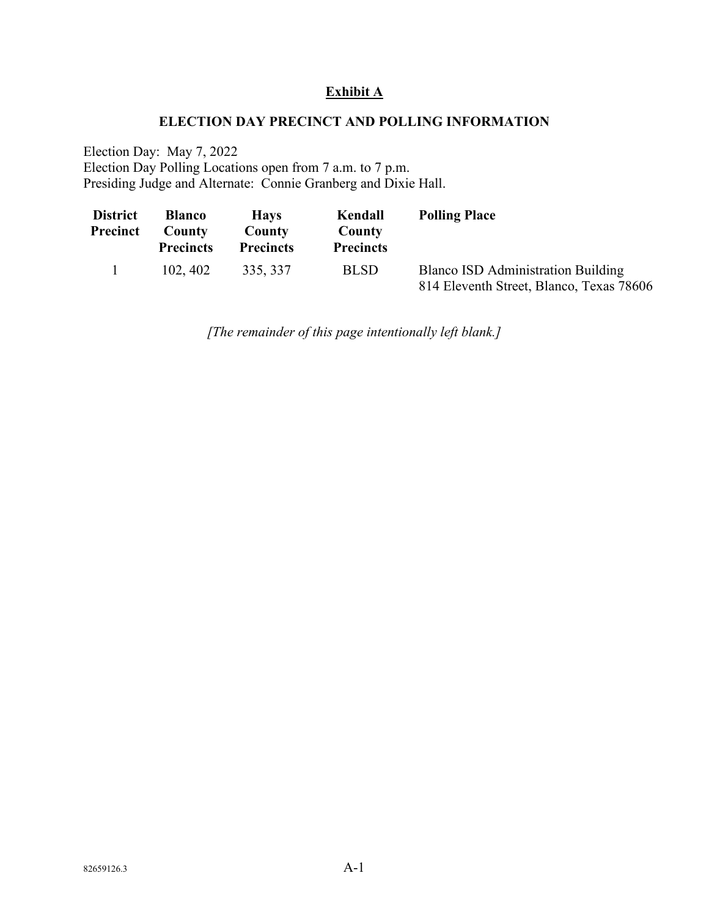## **Exhibit A**

### **ELECTION DAY PRECINCT AND POLLING INFORMATION**

Election Day: May 7, 2022 Election Day Polling Locations open from 7 a.m. to 7 p.m. Presiding Judge and Alternate: Connie Granberg and Dixie Hall.

| <b>District</b><br>Precinct | <b>Blanco</b><br>County<br><b>Precincts</b> | <b>Havs</b><br>County<br><b>Precincts</b> | Kendall<br>County<br><b>Precincts</b> | <b>Polling Place</b>                                                                  |
|-----------------------------|---------------------------------------------|-------------------------------------------|---------------------------------------|---------------------------------------------------------------------------------------|
|                             | 102, 402                                    | 335, 337                                  | <b>BLSD</b>                           | <b>Blanco ISD Administration Building</b><br>814 Eleventh Street, Blanco, Texas 78606 |

*[The remainder of this page intentionally left blank.]*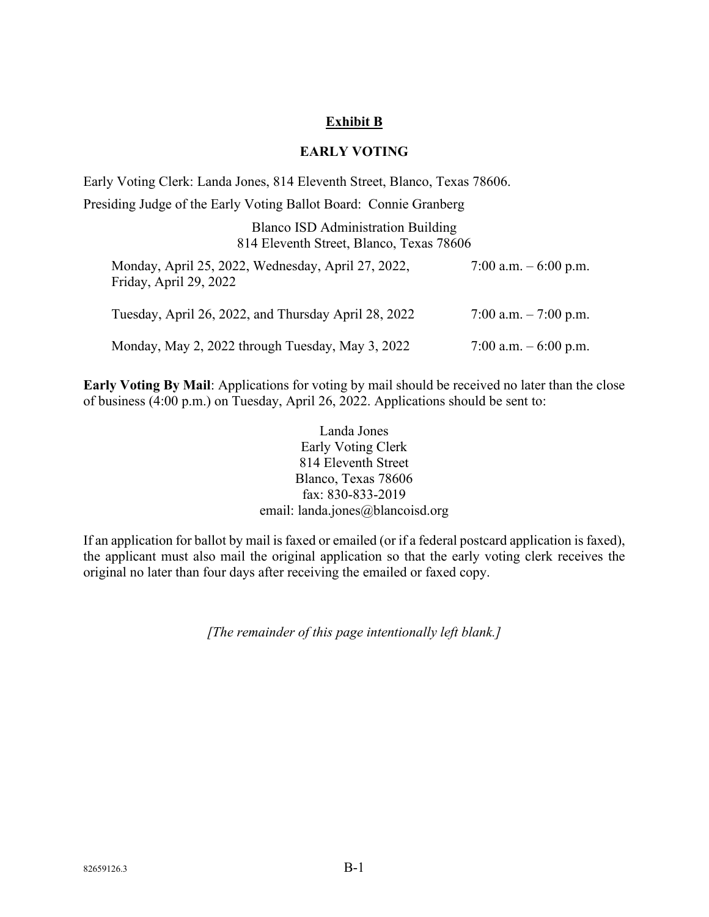## **Exhibit B**

### **EARLY VOTING**

Early Voting Clerk: Landa Jones, 814 Eleventh Street, Blanco, Texas 78606.

Presiding Judge of the Early Voting Ballot Board: Connie Granberg

| <b>Blanco ISD Administration Building</b> |  |  |  |  |
|-------------------------------------------|--|--|--|--|
| 814 Eleventh Street, Blanco, Texas 78606  |  |  |  |  |

| Monday, April 25, 2022, Wednesday, April 27, 2022,<br>Friday, April 29, 2022 | 7:00 a.m. $-6:00$ p.m. |
|------------------------------------------------------------------------------|------------------------|
| Tuesday, April 26, 2022, and Thursday April 28, 2022                         | 7:00 a.m. $-7:00$ p.m. |
| Monday, May 2, 2022 through Tuesday, May 3, 2022                             | 7:00 a.m. $-6:00$ p.m. |

**Early Voting By Mail**: Applications for voting by mail should be received no later than the close of business (4:00 p.m.) on Tuesday, April 26, 2022. Applications should be sent to:

> Landa Jones Early Voting Clerk 814 Eleventh Street Blanco, Texas 78606 fax: 830-833-2019 email: landa.jones@blancoisd.org

If an application for ballot by mail is faxed or emailed (or if a federal postcard application is faxed), the applicant must also mail the original application so that the early voting clerk receives the original no later than four days after receiving the emailed or faxed copy.

*[The remainder of this page intentionally left blank.]*